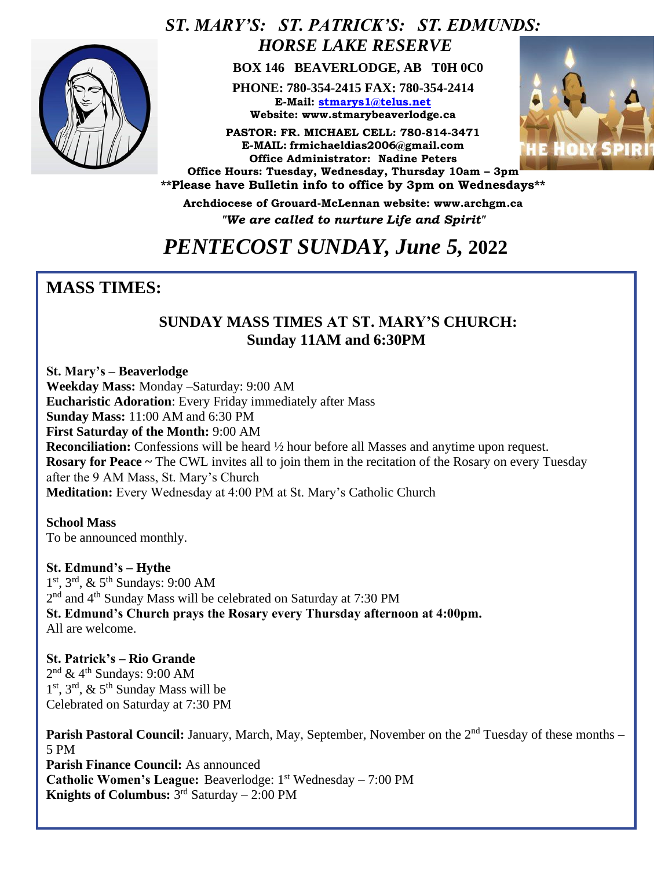

### *ST. MARY'S: ST. PATRICK'S: ST. EDMUNDS: HORSE LAKE RESERVE*

 **BOX 146 BEAVERLODGE, AB T0H 0C0**

**PHONE: 780-354-2415 FAX: 780-354-2414 E-Mail: [stmarys1@telus.net](mailto:stmarys1@telus.net) Website: www.stmarybeaverlodge.ca**

**PASTOR: FR. MICHAEL CELL: 780-814-3471 E-MAIL: frmichaeldias2006@gmail.com Office Administrator: Nadine Peters Office Hours: Tuesday, Wednesday, Thursday 10am – 3pm** 



**\*\*Please have Bulletin info to office by 3pm on Wednesdays\*\* Archdiocese of Grouard-McLennan website: www.archgm.ca**

*"We are called to nurture Life and Spirit"*

## *PENTECOST SUNDAY, June 5,* **2022**

### **MASS TIMES:**

### **SUNDAY MASS TIMES AT ST. MARY'S CHURCH: Sunday 11AM and 6:30PM**

**St. Mary's – Beaverlodge Weekday Mass:** Monday –Saturday: 9:00 AM **Eucharistic Adoration**: Every Friday immediately after Mass **Sunday Mass:** 11:00 AM and 6:30 PM **First Saturday of the Month:** 9:00 AM **Reconciliation:** Confessions will be heard  $\frac{1}{2}$  hour before all Masses and anytime upon request. **Rosary for Peace ~** The CWL invites all to join them in the recitation of the Rosary on every Tuesday after the 9 AM Mass, St. Mary's Church **Meditation:** Every Wednesday at 4:00 PM at St. Mary's Catholic Church

**School Mass** To be announced monthly.

**St. Edmund's – Hythe**  1 st, 3rd, & 5th Sundays: 9:00 AM 2<sup>nd</sup> and 4<sup>th</sup> Sunday Mass will be celebrated on Saturday at 7:30 PM **St. Edmund's Church prays the Rosary every Thursday afternoon at 4:00pm.**  All are welcome.

**St. Patrick's – Rio Grande**   $2<sup>nd</sup>$  & 4<sup>th</sup> Sundays: 9:00 AM 1<sup>st</sup>, 3<sup>rd</sup>, & 5<sup>th</sup> Sunday Mass will be Celebrated on Saturday at 7:30 PM

**Parish Pastoral Council:** January, March, May, September, November on the 2<sup>nd</sup> Tuesday of these months – 5 PM **Parish Finance Council:** As announced **Catholic Women's League:** Beaverlodge: 1<sup>st</sup> Wednesday – 7:00 PM **Knights of Columbus:** 3 rd Saturday – 2:00 PM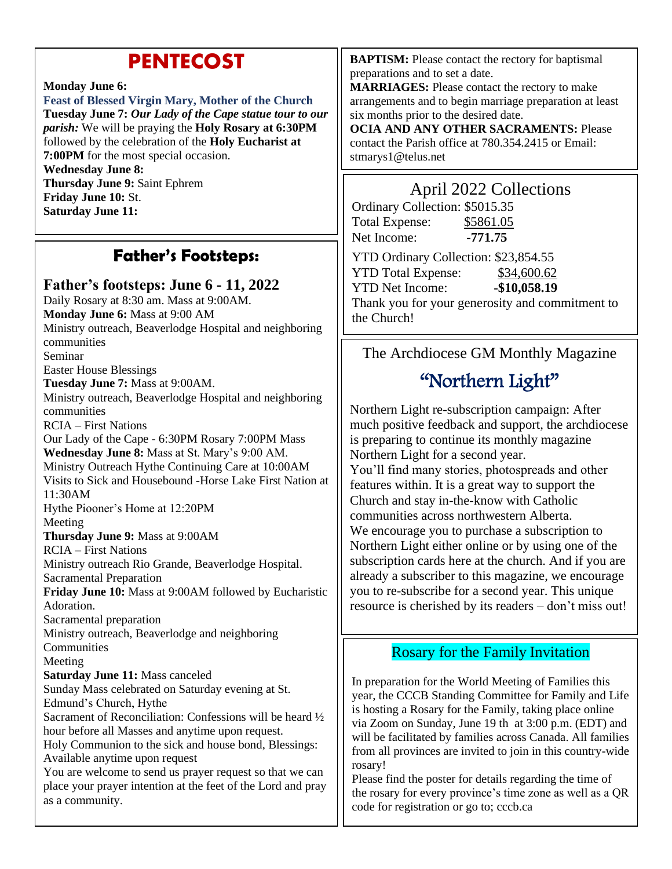### **PENTECOST**

#### **Monday June 6:**

**Feast of Blessed Virgin Mary, Mother of the Church Tuesday June 7:** *Our Lady of the Cape statue tour to our parish:* We will be praying the **Holy Rosary at 6:30PM** followed by the celebration of the **Holy Eucharist at 7:00PM** for the most special occasion. **Wednesday June 8: Thursday June 9:** Saint Ephrem **Friday June 10:** St. **Saturday June 11:**

### **Father's Footsteps:**

#### **Father's footsteps: June 6 - 11, 2022**

Daily Rosary at 8:30 am. Mass at 9:00AM. **Monday June 6:** Mass at 9:00 AM Ministry outreach, Beaverlodge Hospital and neighboring communities Seminar Easter House Blessings **Tuesday June 7:** Mass at 9:00AM. Ministry outreach, Beaverlodge Hospital and neighboring communities RCIA – First Nations Our Lady of the Cape - 6:30PM Rosary 7:00PM Mass **Wednesday June 8:** Mass at St. Mary's 9:00 AM. Ministry Outreach Hythe Continuing Care at 10:00AM Visits to Sick and Housebound -Horse Lake First Nation at 11:30AM Hythe Piooner's Home at 12:20PM Meeting **Thursday June 9:** Mass at 9:00AM RCIA – First Nations Ministry outreach Rio Grande, Beaverlodge Hospital. Sacramental Preparation **Friday June 10:** Mass at 9:00AM followed by Eucharistic Adoration. Sacramental preparation Ministry outreach, Beaverlodge and neighboring **Communities** Meeting **Saturday June 11:** Mass canceled Sunday Mass celebrated on Saturday evening at St. Edmund's Church, Hythe Sacrament of Reconciliation: Confessions will be heard ½ hour before all Masses and anytime upon request. Holy Communion to the sick and house bond, Blessings: Available anytime upon request You are welcome to send us prayer request so that we can place your prayer intention at the feet of the Lord and pray as a community.

**BAPTISM:** Please contact the rectory for baptismal preparations and to set a date.

**MARRIAGES:** Please contact the rectory to make arrangements and to begin marriage preparation at least six months prior to the desired date.

**OCIA AND ANY OTHER SACRAMENTS:** Please contact the Parish office at 780.354.2415 or Email: stmarys1@telus.net

### April 2022 Collections

| Ordinary Collection: \$5015.35                  |               |
|-------------------------------------------------|---------------|
| <b>Total Expense:</b>                           | \$5861.05     |
| Net Income:                                     | $-771.75$     |
| YTD Ordinary Collection: \$23,854.55            |               |
| <b>YTD Total Expense:</b>                       | \$34,600.62   |
| <b>YTD Net Income:</b>                          | $-$10,058.19$ |
| Thank you for your generosity and commitment to |               |
| the Church!                                     |               |

#### The Archdiocese GM Monthly Magazine

### "Northern Light"

Northern Light re-subscription campaign: After much positive feedback and support, the archdiocese is preparing to continue its monthly magazine Northern Light for a second year. You'll find many stories, photospreads and other features within. It is a great way to support the Church and stay in-the-know with Catholic communities across northwestern Alberta. We encourage you to purchase a subscription to Northern Light either online or by using one of the subscription cards here at the church. And if you are already a subscriber to this magazine, we encourage you to re-subscribe for a second year. This unique resource is cherished by its readers – don't miss out!

#### Rosary for the Family Invitation

In preparation for the World Meeting of Families this year, the CCCB Standing Committee for Family and Life is hosting a Rosary for the Family, taking place online via Zoom on Sunday, June 19 th at 3:00 p.m. (EDT) and will be facilitated by families across Canada. All families from all provinces are invited to join in this country-wide rosary!

Please find the poster for details regarding the time of the rosary for every province's time zone as well as a QR code for registration or go to; cccb.ca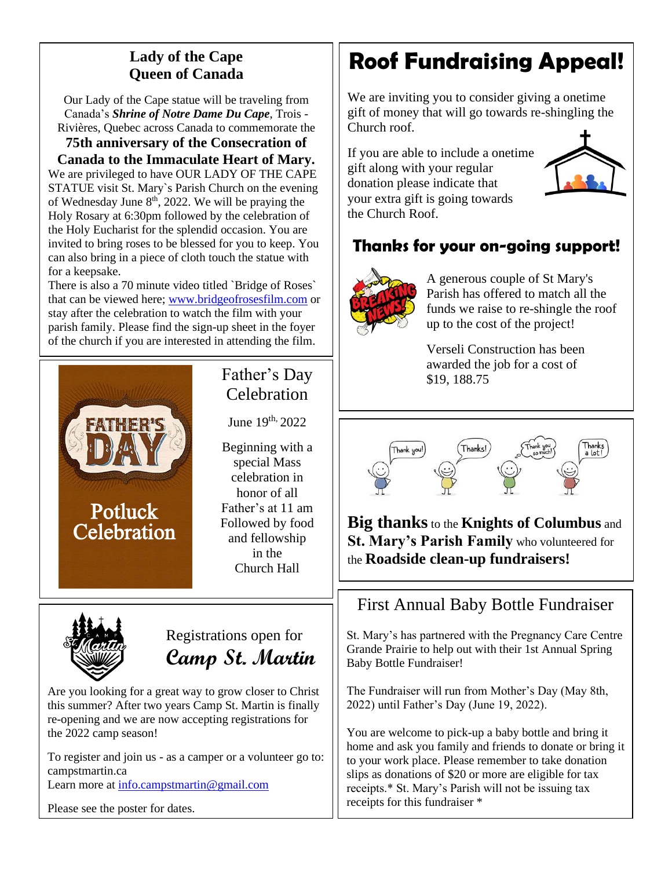### **Lady of the Cape Queen of Canada**

Our Lady of the Cape statue will be traveling from Canada's *Shrine of Notre Dame Du Cape*, Trois - Rivières, Quebec across Canada to commemorate the

**75th anniversary of the Consecration of** 

**Canada to the Immaculate Heart of Mary.** We are privileged to have OUR LADY OF THE CAPE STATUE visit St. Mary`s Parish Church on the evening of Wednesday June  $8<sup>th</sup>$ , 2022. We will be praying the Holy Rosary at 6:30pm followed by the celebration of the Holy Eucharist for the splendid occasion. You are invited to bring roses to be blessed for you to keep. You can also bring in a piece of cloth touch the statue with for a keepsake.

There is also a 70 minute video titled `Bridge of Roses` that can be viewed here; [www.bridgeofrosesfilm.com](http://www.bridgeofrosesfilm.com/) or stay after the celebration to watch the film with your parish family. Please find the sign-up sheet in the foyer of the church if you are interested in attending the film.



### Father's Day **Celebration**

June  $19^{th}$ ,  $2022$ 

Beginning with a special Mass celebration in honor of all Father's at 11 am Followed by food and fellowship in the Church Hall



Registrations open for **Camp St. Martin**

Are you looking for a great way to grow closer to Christ this summer? After two years Camp St. Martin is finally re-opening and we are now accepting registrations for the 2022 camp season!

To register and join us - as a camper or a volunteer go to: campstmartin.ca Learn more at [info.campstmartin@gmail.com](mailto:info.campstmartin@gmail.com)

Please see the poster for dates.

# **Roof Fundraising Appeal!**

We are inviting you to consider giving a onetime gift of money that will go towards re-shingling the Church roof.

If you are able to include a onetime gift along with your regular donation please indicate that your extra gift is going towards the Church Roof.



### **Thanks for your on-going support!**



A generous couple of St Mary's Parish has offered to match all the funds we raise to re-shingle the roof up to the cost of the project!

Verseli Construction has been awarded the job for a cost of \$19, 188.75



**Big thanks**to the **Knights of Columbus** and **St. Mary's Parish Family** who volunteered for the **Roadside clean-up fundraisers!**

### First Annual Baby Bottle Fundraiser

St. Mary's has partnered with the Pregnancy Care Centre Grande Prairie to help out with their 1st Annual Spring Baby Bottle Fundraiser!

The Fundraiser will run from Mother's Day (May 8th, 2022) until Father's Day (June 19, 2022).

You are welcome to pick-up a baby bottle and bring it home and ask you family and friends to donate or bring it to your work place. Please remember to take donation slips as donations of \$20 or more are eligible for tax receipts.\* St. Mary's Parish will not be issuing tax receipts for this fundraiser \*